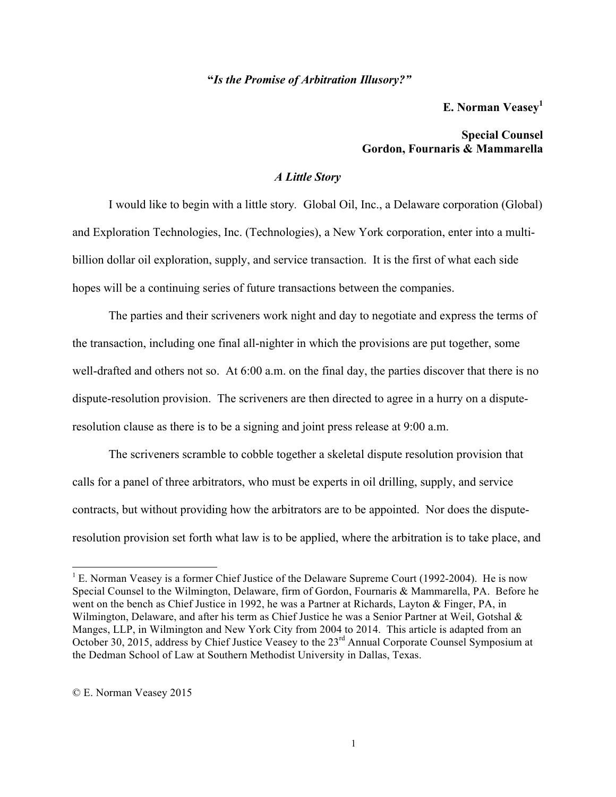**"***Is the Promise of Arbitration Illusory?"*

**E. Norman Veasey1**

# **Special Counsel Gordon, Fournaris & Mammarella**

## *A Little Story*

I would like to begin with a little story*.* Global Oil, Inc., a Delaware corporation (Global) and Exploration Technologies, Inc. (Technologies), a New York corporation, enter into a multibillion dollar oil exploration, supply, and service transaction. It is the first of what each side hopes will be a continuing series of future transactions between the companies.

The parties and their scriveners work night and day to negotiate and express the terms of the transaction, including one final all-nighter in which the provisions are put together, some well-drafted and others not so. At 6:00 a.m. on the final day, the parties discover that there is no dispute-resolution provision. The scriveners are then directed to agree in a hurry on a disputeresolution clause as there is to be a signing and joint press release at 9:00 a.m.

The scriveners scramble to cobble together a skeletal dispute resolution provision that calls for a panel of three arbitrators, who must be experts in oil drilling, supply, and service contracts, but without providing how the arbitrators are to be appointed. Nor does the disputeresolution provision set forth what law is to be applied, where the arbitration is to take place, and

 $1 \text{ E}$ . Norman Veasey is a former Chief Justice of the Delaware Supreme Court (1992-2004). He is now Special Counsel to the Wilmington, Delaware, firm of Gordon, Fournaris & Mammarella, PA. Before he went on the bench as Chief Justice in 1992, he was a Partner at Richards, Layton & Finger, PA, in Wilmington, Delaware, and after his term as Chief Justice he was a Senior Partner at Weil, Gotshal & Manges, LLP, in Wilmington and New York City from 2004 to 2014. This article is adapted from an October 30, 2015, address by Chief Justice Veasey to the 23<sup>rd</sup> Annual Corporate Counsel Symposium at the Dedman School of Law at Southern Methodist University in Dallas, Texas.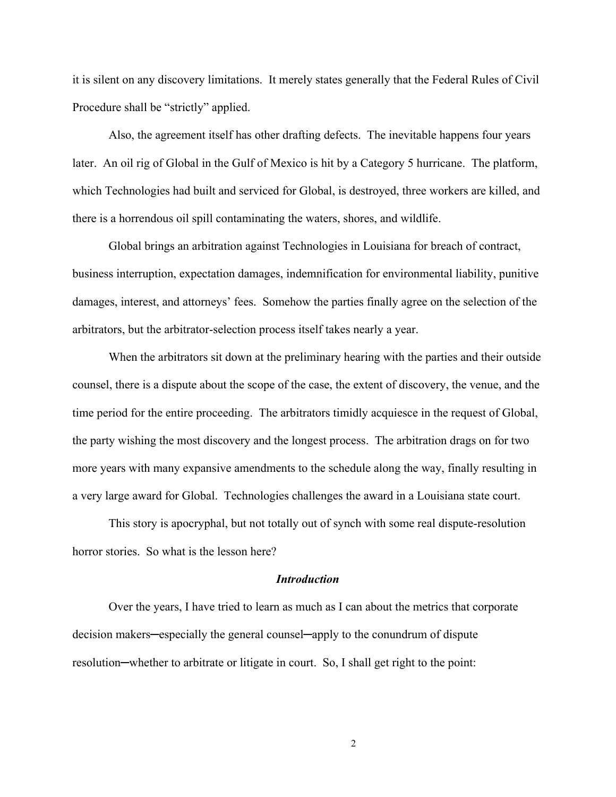it is silent on any discovery limitations. It merely states generally that the Federal Rules of Civil Procedure shall be "strictly" applied.

Also, the agreement itself has other drafting defects. The inevitable happens four years later. An oil rig of Global in the Gulf of Mexico is hit by a Category 5 hurricane. The platform, which Technologies had built and serviced for Global, is destroyed, three workers are killed, and there is a horrendous oil spill contaminating the waters, shores, and wildlife.

Global brings an arbitration against Technologies in Louisiana for breach of contract, business interruption, expectation damages, indemnification for environmental liability, punitive damages, interest, and attorneys' fees. Somehow the parties finally agree on the selection of the arbitrators, but the arbitrator-selection process itself takes nearly a year.

When the arbitrators sit down at the preliminary hearing with the parties and their outside counsel, there is a dispute about the scope of the case, the extent of discovery, the venue, and the time period for the entire proceeding. The arbitrators timidly acquiesce in the request of Global, the party wishing the most discovery and the longest process. The arbitration drags on for two more years with many expansive amendments to the schedule along the way, finally resulting in a very large award for Global. Technologies challenges the award in a Louisiana state court.

This story is apocryphal, but not totally out of synch with some real dispute-resolution horror stories. So what is the lesson here?

## *Introduction*

Over the years, I have tried to learn as much as I can about the metrics that corporate decision makers─especially the general counsel─apply to the conundrum of dispute resolution—whether to arbitrate or litigate in court. So, I shall get right to the point: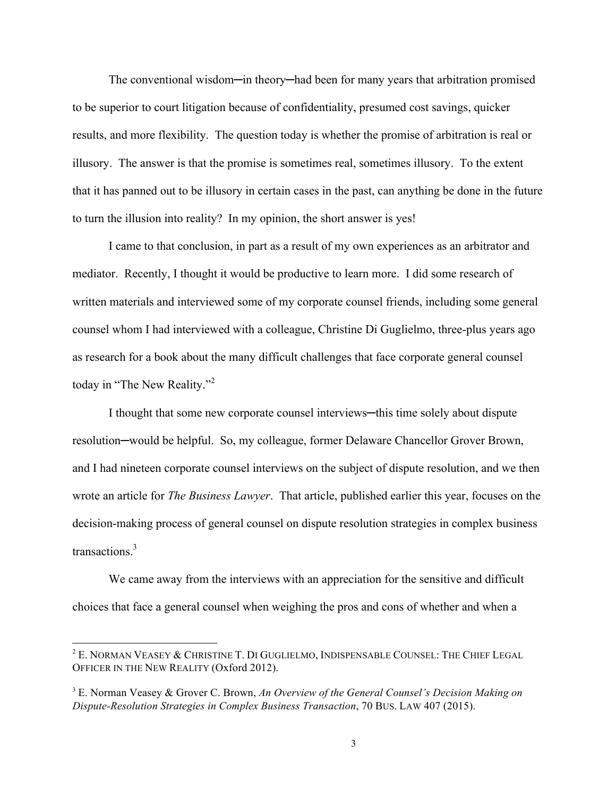The conventional wisdom—in theory—had been for many years that arbitration promised to be superior to court litigation because of confidentiality, presumed cost savings, quicker results, and more flexibility. The question today is whether the promise of arbitration is real or illusory. The answer is that the promise is sometimes real, sometimes illusory. To the extent that it has panned out to be illusory in certain cases in the past, can anything be done in the future to turn the illusion into reality? In my opinion, the short answer is yes!

I came to that conclusion, in part as a result of my own experiences as an arbitrator and mediator. Recently, I thought it would be productive to learn more. I did some research of written materials and interviewed some of my corporate counsel friends, including some general counsel whom I had interviewed with a colleague, Christine Di Guglielmo, three-plus years ago as research for a book about the many difficult challenges that face corporate general counsel today in "The New Reality."<sup>2</sup>

I thought that some new corporate counsel interviews—this time solely about dispute resolution─would be helpful. So, my colleague, former Delaware Chancellor Grover Brown, and I had nineteen corporate counsel interviews on the subject of dispute resolution, and we then wrote an article for *The Business Lawyer*. That article, published earlier this year, focuses on the decision-making process of general counsel on dispute resolution strategies in complex business transactions. 3

We came away from the interviews with an appreciation for the sensitive and difficult choices that face a general counsel when weighing the pros and cons of whether and when a

<sup>&</sup>lt;sup>2</sup> E. NORMAN VEASEY & CHRISTINE T. DI GUGLIELMO, INDISPENSABLE COUNSEL: THE CHIEF LEGAL OFFICER IN THE NEW REALITY (Oxford 2012).

<sup>3</sup> E. Norman Veasey & Grover C. Brown, *An Overview of the General Counsel's Decision Making on Dispute-Resolution Strategies in Complex Business Transaction*, 70 BUS. LAW 407 (2015).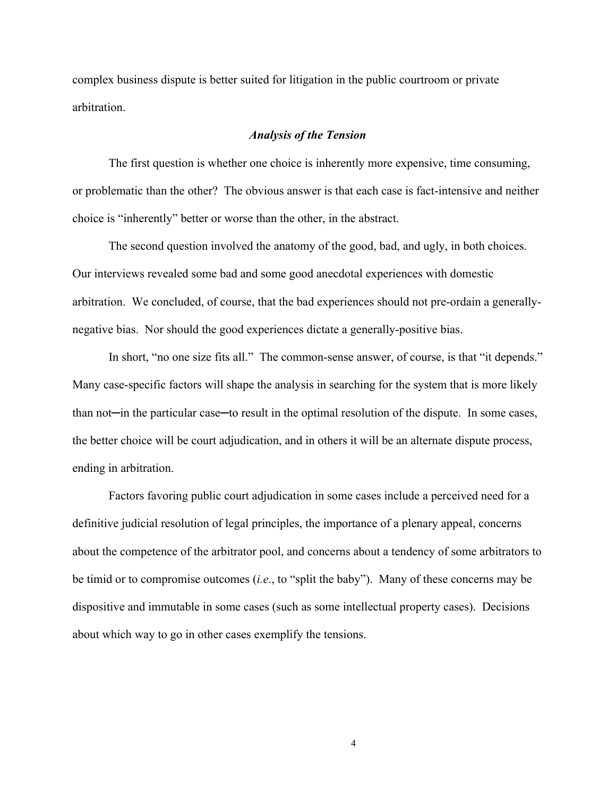complex business dispute is better suited for litigation in the public courtroom or private arbitration.

### *Analysis of the Tension*

The first question is whether one choice is inherently more expensive, time consuming, or problematic than the other? The obvious answer is that each case is fact-intensive and neither choice is "inherently" better or worse than the other, in the abstract.

The second question involved the anatomy of the good, bad, and ugly, in both choices. Our interviews revealed some bad and some good anecdotal experiences with domestic arbitration. We concluded, of course, that the bad experiences should not pre-ordain a generallynegative bias. Nor should the good experiences dictate a generally-positive bias.

In short, "no one size fits all." The common-sense answer, of course, is that "it depends." Many case-specific factors will shape the analysis in searching for the system that is more likely than not—in the particular case—to result in the optimal resolution of the dispute. In some cases, the better choice will be court adjudication, and in others it will be an alternate dispute process, ending in arbitration.

Factors favoring public court adjudication in some cases include a perceived need for a definitive judicial resolution of legal principles, the importance of a plenary appeal, concerns about the competence of the arbitrator pool, and concerns about a tendency of some arbitrators to be timid or to compromise outcomes (*i.e*., to "split the baby"). Many of these concerns may be dispositive and immutable in some cases (such as some intellectual property cases). Decisions about which way to go in other cases exemplify the tensions.

 $4<sup>5</sup>$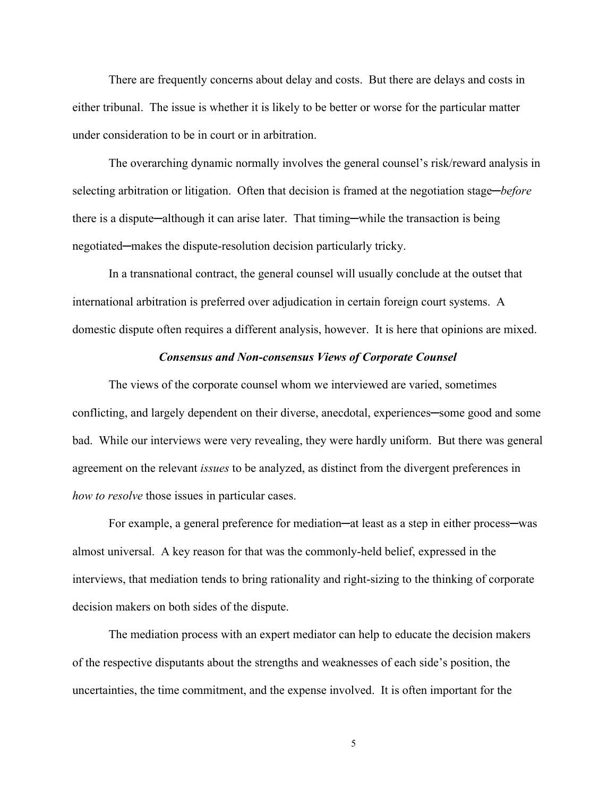There are frequently concerns about delay and costs. But there are delays and costs in either tribunal. The issue is whether it is likely to be better or worse for the particular matter under consideration to be in court or in arbitration.

The overarching dynamic normally involves the general counsel's risk/reward analysis in selecting arbitration or litigation. Often that decision is framed at the negotiation stage─*before* there is a dispute—although it can arise later. That timing—while the transaction is being negotiated—makes the dispute-resolution decision particularly tricky.

In a transnational contract, the general counsel will usually conclude at the outset that international arbitration is preferred over adjudication in certain foreign court systems. A domestic dispute often requires a different analysis, however. It is here that opinions are mixed.

### *Consensus and Non-consensus Views of Corporate Counsel*

The views of the corporate counsel whom we interviewed are varied, sometimes conflicting, and largely dependent on their diverse, anecdotal, experiences—some good and some bad. While our interviews were very revealing, they were hardly uniform. But there was general agreement on the relevant *issues* to be analyzed, as distinct from the divergent preferences in *how to resolve* those issues in particular cases.

For example, a general preference for mediation—at least as a step in either process—was almost universal. A key reason for that was the commonly-held belief, expressed in the interviews, that mediation tends to bring rationality and right-sizing to the thinking of corporate decision makers on both sides of the dispute.

The mediation process with an expert mediator can help to educate the decision makers of the respective disputants about the strengths and weaknesses of each side's position, the uncertainties, the time commitment, and the expense involved. It is often important for the

 $5\overline{5}$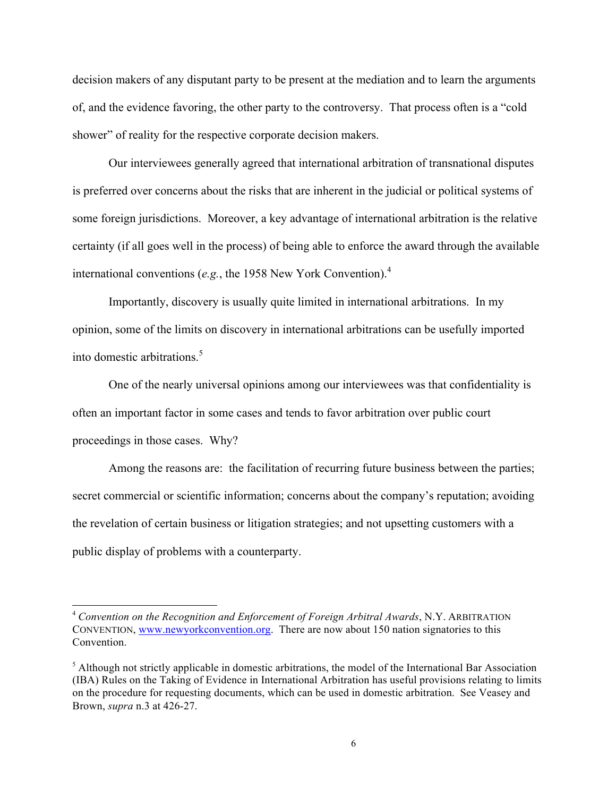decision makers of any disputant party to be present at the mediation and to learn the arguments of, and the evidence favoring, the other party to the controversy. That process often is a "cold shower" of reality for the respective corporate decision makers.

Our interviewees generally agreed that international arbitration of transnational disputes is preferred over concerns about the risks that are inherent in the judicial or political systems of some foreign jurisdictions. Moreover, a key advantage of international arbitration is the relative certainty (if all goes well in the process) of being able to enforce the award through the available international conventions (*e.g.*, the 1958 New York Convention).<sup>4</sup>

Importantly, discovery is usually quite limited in international arbitrations. In my opinion, some of the limits on discovery in international arbitrations can be usefully imported into domestic arbitrations.<sup>5</sup>

One of the nearly universal opinions among our interviewees was that confidentiality is often an important factor in some cases and tends to favor arbitration over public court proceedings in those cases. Why?

Among the reasons are: the facilitation of recurring future business between the parties; secret commercial or scientific information; concerns about the company's reputation; avoiding the revelation of certain business or litigation strategies; and not upsetting customers with a public display of problems with a counterparty.

 <sup>4</sup> *Convention on the Recognition and Enforcement of Foreign Arbitral Awards*, N.Y. ARBITRATION CONVENTION, www.newyorkconvention.org. There are now about 150 nation signatories to this Convention.

<sup>&</sup>lt;sup>5</sup> Although not strictly applicable in domestic arbitrations, the model of the International Bar Association (IBA) Rules on the Taking of Evidence in International Arbitration has useful provisions relating to limits on the procedure for requesting documents, which can be used in domestic arbitration. See Veasey and Brown, *supra* n.3 at 426-27.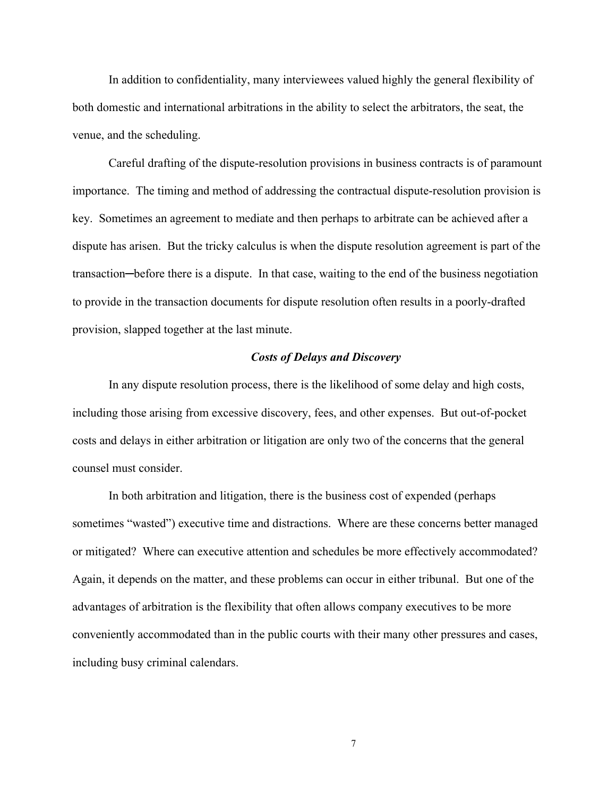In addition to confidentiality, many interviewees valued highly the general flexibility of both domestic and international arbitrations in the ability to select the arbitrators, the seat, the venue, and the scheduling.

Careful drafting of the dispute-resolution provisions in business contracts is of paramount importance. The timing and method of addressing the contractual dispute-resolution provision is key. Sometimes an agreement to mediate and then perhaps to arbitrate can be achieved after a dispute has arisen. But the tricky calculus is when the dispute resolution agreement is part of the transaction─before there is a dispute. In that case, waiting to the end of the business negotiation to provide in the transaction documents for dispute resolution often results in a poorly-drafted provision, slapped together at the last minute.

### *Costs of Delays and Discovery*

In any dispute resolution process, there is the likelihood of some delay and high costs, including those arising from excessive discovery, fees, and other expenses. But out-of-pocket costs and delays in either arbitration or litigation are only two of the concerns that the general counsel must consider.

In both arbitration and litigation, there is the business cost of expended (perhaps sometimes "wasted") executive time and distractions. Where are these concerns better managed or mitigated? Where can executive attention and schedules be more effectively accommodated? Again, it depends on the matter, and these problems can occur in either tribunal. But one of the advantages of arbitration is the flexibility that often allows company executives to be more conveniently accommodated than in the public courts with their many other pressures and cases, including busy criminal calendars.

 $\overline{7}$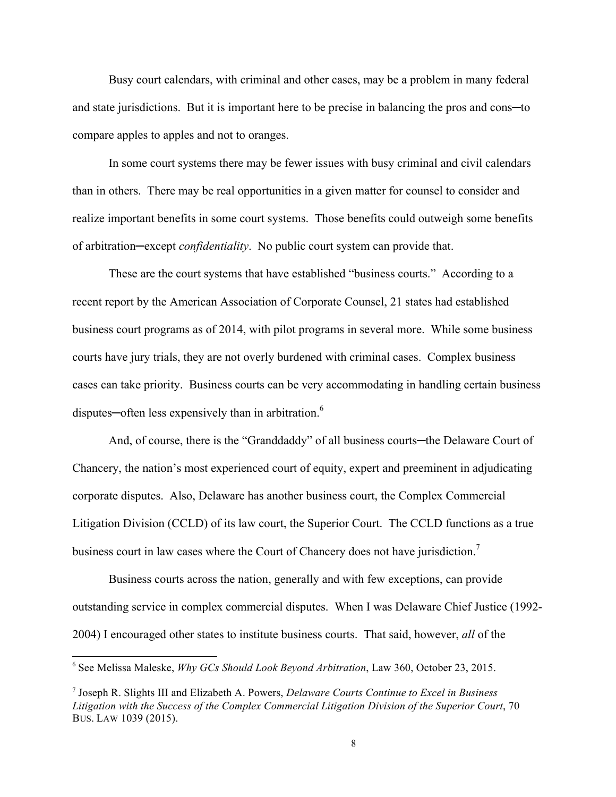Busy court calendars, with criminal and other cases, may be a problem in many federal and state jurisdictions. But it is important here to be precise in balancing the pros and cons—to compare apples to apples and not to oranges.

In some court systems there may be fewer issues with busy criminal and civil calendars than in others. There may be real opportunities in a given matter for counsel to consider and realize important benefits in some court systems. Those benefits could outweigh some benefits of arbitration─except *confidentiality*. No public court system can provide that.

These are the court systems that have established "business courts." According to a recent report by the American Association of Corporate Counsel, 21 states had established business court programs as of 2014, with pilot programs in several more. While some business courts have jury trials, they are not overly burdened with criminal cases. Complex business cases can take priority. Business courts can be very accommodating in handling certain business disputes—often less expensively than in arbitration.<sup>6</sup>

And, of course, there is the "Granddaddy" of all business courts—the Delaware Court of Chancery, the nation's most experienced court of equity, expert and preeminent in adjudicating corporate disputes. Also, Delaware has another business court, the Complex Commercial Litigation Division (CCLD) of its law court, the Superior Court. The CCLD functions as a true business court in law cases where the Court of Chancery does not have jurisdiction.<sup>7</sup>

Business courts across the nation, generally and with few exceptions, can provide outstanding service in complex commercial disputes. When I was Delaware Chief Justice (1992- 2004) I encouraged other states to institute business courts. That said, however, *all* of the

 <sup>6</sup> See Melissa Maleske, *Why GCs Should Look Beyond Arbitration*, Law 360, October 23, 2015.

<sup>7</sup> Joseph R. Slights III and Elizabeth A. Powers, *Delaware Courts Continue to Excel in Business Litigation with the Success of the Complex Commercial Litigation Division of the Superior Court*, 70 BUS. LAW 1039 (2015).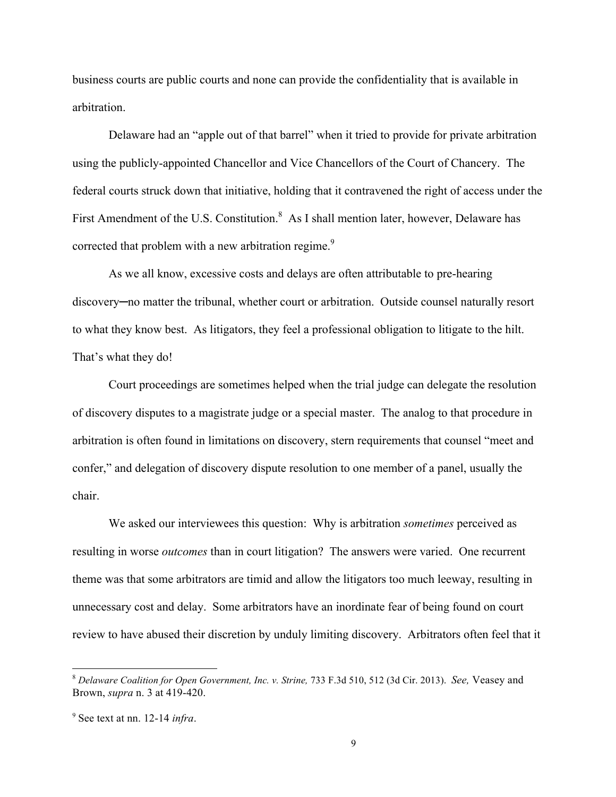business courts are public courts and none can provide the confidentiality that is available in arbitration.

Delaware had an "apple out of that barrel" when it tried to provide for private arbitration using the publicly-appointed Chancellor and Vice Chancellors of the Court of Chancery. The federal courts struck down that initiative, holding that it contravened the right of access under the First Amendment of the U.S. Constitution.<sup>8</sup> As I shall mention later, however, Delaware has corrected that problem with a new arbitration regime.<sup>9</sup>

As we all know, excessive costs and delays are often attributable to pre-hearing discovery─no matter the tribunal, whether court or arbitration. Outside counsel naturally resort to what they know best. As litigators, they feel a professional obligation to litigate to the hilt. That's what they do!

Court proceedings are sometimes helped when the trial judge can delegate the resolution of discovery disputes to a magistrate judge or a special master. The analog to that procedure in arbitration is often found in limitations on discovery, stern requirements that counsel "meet and confer," and delegation of discovery dispute resolution to one member of a panel, usually the chair.

We asked our interviewees this question: Why is arbitration *sometimes* perceived as resulting in worse *outcomes* than in court litigation? The answers were varied. One recurrent theme was that some arbitrators are timid and allow the litigators too much leeway, resulting in unnecessary cost and delay. Some arbitrators have an inordinate fear of being found on court review to have abused their discretion by unduly limiting discovery. Arbitrators often feel that it

 <sup>8</sup> *Delaware Coalition for Open Government, Inc. v. Strine,* 733 F.3d 510, 512 (3d Cir. 2013). *See,* Veasey and Brown, *supra* n. 3 at 419-420.

<sup>9</sup> See text at nn. 12-14 *infra*.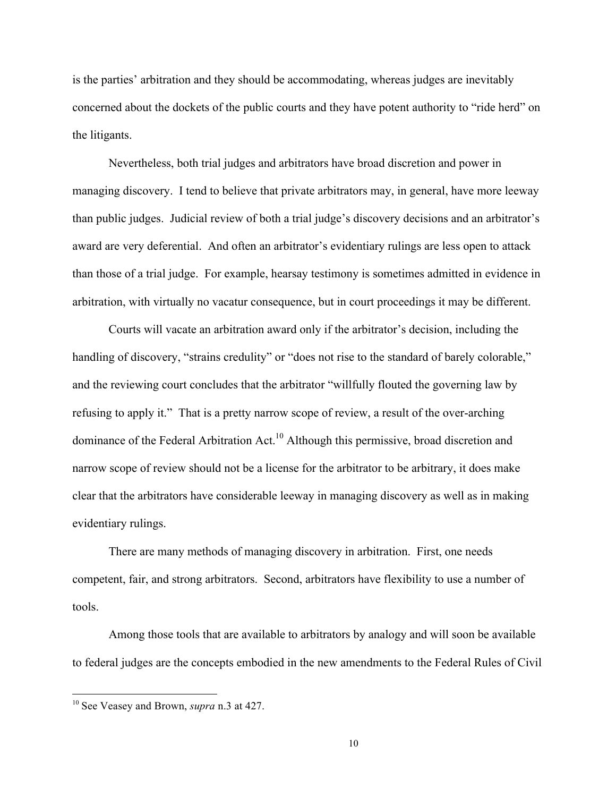is the parties' arbitration and they should be accommodating, whereas judges are inevitably concerned about the dockets of the public courts and they have potent authority to "ride herd" on the litigants.

Nevertheless, both trial judges and arbitrators have broad discretion and power in managing discovery. I tend to believe that private arbitrators may, in general, have more leeway than public judges. Judicial review of both a trial judge's discovery decisions and an arbitrator's award are very deferential. And often an arbitrator's evidentiary rulings are less open to attack than those of a trial judge. For example, hearsay testimony is sometimes admitted in evidence in arbitration, with virtually no vacatur consequence, but in court proceedings it may be different.

Courts will vacate an arbitration award only if the arbitrator's decision, including the handling of discovery, "strains credulity" or "does not rise to the standard of barely colorable," and the reviewing court concludes that the arbitrator "willfully flouted the governing law by refusing to apply it." That is a pretty narrow scope of review, a result of the over-arching dominance of the Federal Arbitration Act.<sup>10</sup> Although this permissive, broad discretion and narrow scope of review should not be a license for the arbitrator to be arbitrary, it does make clear that the arbitrators have considerable leeway in managing discovery as well as in making evidentiary rulings.

There are many methods of managing discovery in arbitration. First, one needs competent, fair, and strong arbitrators. Second, arbitrators have flexibility to use a number of tools.

Among those tools that are available to arbitrators by analogy and will soon be available to federal judges are the concepts embodied in the new amendments to the Federal Rules of Civil

 <sup>10</sup> See Veasey and Brown, *supra* n.3 at 427.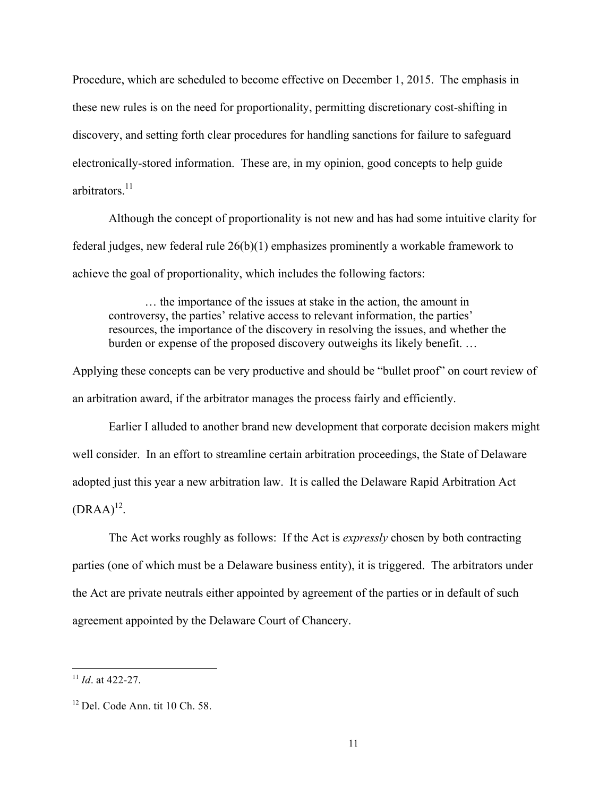Procedure, which are scheduled to become effective on December 1, 2015. The emphasis in these new rules is on the need for proportionality, permitting discretionary cost-shifting in discovery, and setting forth clear procedures for handling sanctions for failure to safeguard electronically-stored information. These are, in my opinion, good concepts to help guide arbitrators.<sup>11</sup>

Although the concept of proportionality is not new and has had some intuitive clarity for federal judges, new federal rule 26(b)(1) emphasizes prominently a workable framework to achieve the goal of proportionality, which includes the following factors:

… the importance of the issues at stake in the action, the amount in controversy, the parties' relative access to relevant information, the parties' resources, the importance of the discovery in resolving the issues, and whether the burden or expense of the proposed discovery outweighs its likely benefit. …

Applying these concepts can be very productive and should be "bullet proof" on court review of an arbitration award, if the arbitrator manages the process fairly and efficiently.

Earlier I alluded to another brand new development that corporate decision makers might well consider. In an effort to streamline certain arbitration proceedings, the State of Delaware adopted just this year a new arbitration law. It is called the Delaware Rapid Arbitration Act  $(DRAA)^{12}$ .

The Act works roughly as follows: If the Act is *expressly* chosen by both contracting parties (one of which must be a Delaware business entity), it is triggered. The arbitrators under the Act are private neutrals either appointed by agreement of the parties or in default of such agreement appointed by the Delaware Court of Chancery.

 <sup>11</sup> *Id*. at 422-27.

 $12$  Del. Code Ann. tit 10 Ch. 58.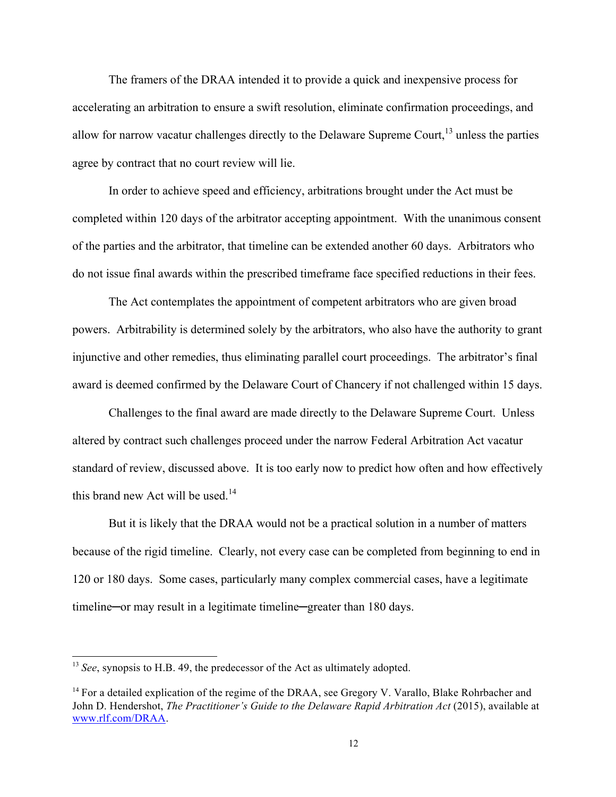The framers of the DRAA intended it to provide a quick and inexpensive process for accelerating an arbitration to ensure a swift resolution, eliminate confirmation proceedings, and allow for narrow vacatur challenges directly to the Delaware Supreme Court,  $13$  unless the parties agree by contract that no court review will lie.

In order to achieve speed and efficiency, arbitrations brought under the Act must be completed within 120 days of the arbitrator accepting appointment. With the unanimous consent of the parties and the arbitrator, that timeline can be extended another 60 days. Arbitrators who do not issue final awards within the prescribed timeframe face specified reductions in their fees.

The Act contemplates the appointment of competent arbitrators who are given broad powers. Arbitrability is determined solely by the arbitrators, who also have the authority to grant injunctive and other remedies, thus eliminating parallel court proceedings. The arbitrator's final award is deemed confirmed by the Delaware Court of Chancery if not challenged within 15 days.

Challenges to the final award are made directly to the Delaware Supreme Court. Unless altered by contract such challenges proceed under the narrow Federal Arbitration Act vacatur standard of review, discussed above. It is too early now to predict how often and how effectively this brand new Act will be used. $14$ 

But it is likely that the DRAA would not be a practical solution in a number of matters because of the rigid timeline. Clearly, not every case can be completed from beginning to end in 120 or 180 days. Some cases, particularly many complex commercial cases, have a legitimate timeline—or may result in a legitimate timeline—greater than 180 days.

<sup>&</sup>lt;sup>13</sup> *See*, synopsis to H.B. 49, the predecessor of the Act as ultimately adopted.

<sup>&</sup>lt;sup>14</sup> For a detailed explication of the regime of the DRAA, see Gregory V. Varallo, Blake Rohrbacher and John D. Hendershot, *The Practitioner's Guide to the Delaware Rapid Arbitration Act* (2015), available at www.rlf.com/DRAA.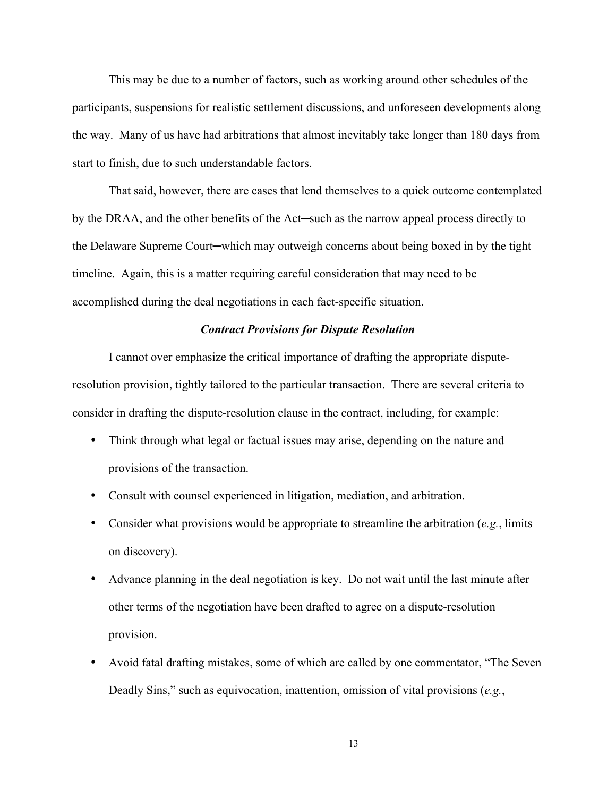This may be due to a number of factors, such as working around other schedules of the participants, suspensions for realistic settlement discussions, and unforeseen developments along the way. Many of us have had arbitrations that almost inevitably take longer than 180 days from start to finish, due to such understandable factors.

That said, however, there are cases that lend themselves to a quick outcome contemplated by the DRAA, and the other benefits of the Act─such as the narrow appeal process directly to the Delaware Supreme Court─which may outweigh concerns about being boxed in by the tight timeline. Again, this is a matter requiring careful consideration that may need to be accomplished during the deal negotiations in each fact-specific situation.

## *Contract Provisions for Dispute Resolution*

I cannot over emphasize the critical importance of drafting the appropriate disputeresolution provision, tightly tailored to the particular transaction. There are several criteria to consider in drafting the dispute-resolution clause in the contract, including, for example:

- Think through what legal or factual issues may arise, depending on the nature and provisions of the transaction.
- Consult with counsel experienced in litigation, mediation, and arbitration.
- Consider what provisions would be appropriate to streamline the arbitration (*e.g.*, limits on discovery).
- Advance planning in the deal negotiation is key. Do not wait until the last minute after other terms of the negotiation have been drafted to agree on a dispute-resolution provision.
- Avoid fatal drafting mistakes, some of which are called by one commentator, "The Seven Deadly Sins," such as equivocation, inattention, omission of vital provisions (*e.g.*,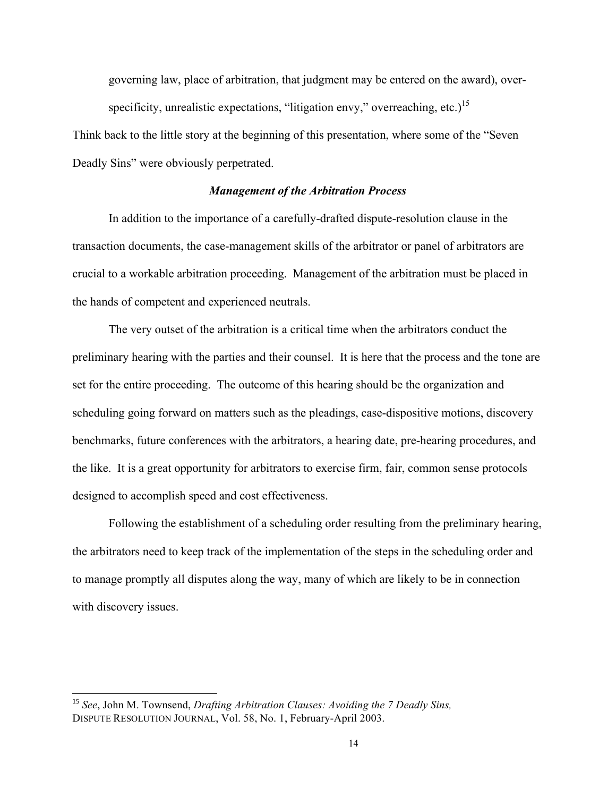governing law, place of arbitration, that judgment may be entered on the award), overspecificity, unrealistic expectations, "litigation envy," overreaching, etc.)<sup>15</sup>

Think back to the little story at the beginning of this presentation, where some of the "Seven Deadly Sins" were obviously perpetrated.

#### *Management of the Arbitration Process*

In addition to the importance of a carefully-drafted dispute-resolution clause in the transaction documents, the case-management skills of the arbitrator or panel of arbitrators are crucial to a workable arbitration proceeding. Management of the arbitration must be placed in the hands of competent and experienced neutrals.

The very outset of the arbitration is a critical time when the arbitrators conduct the preliminary hearing with the parties and their counsel. It is here that the process and the tone are set for the entire proceeding. The outcome of this hearing should be the organization and scheduling going forward on matters such as the pleadings, case-dispositive motions, discovery benchmarks, future conferences with the arbitrators, a hearing date, pre-hearing procedures, and the like. It is a great opportunity for arbitrators to exercise firm, fair, common sense protocols designed to accomplish speed and cost effectiveness.

Following the establishment of a scheduling order resulting from the preliminary hearing, the arbitrators need to keep track of the implementation of the steps in the scheduling order and to manage promptly all disputes along the way, many of which are likely to be in connection with discovery issues.

 $\overline{a}$ 

<sup>15</sup> *See*, John M. Townsend, *Drafting Arbitration Clauses: Avoiding the 7 Deadly Sins,* DISPUTE RESOLUTION JOURNAL, Vol. 58, No. 1, February-April 2003.